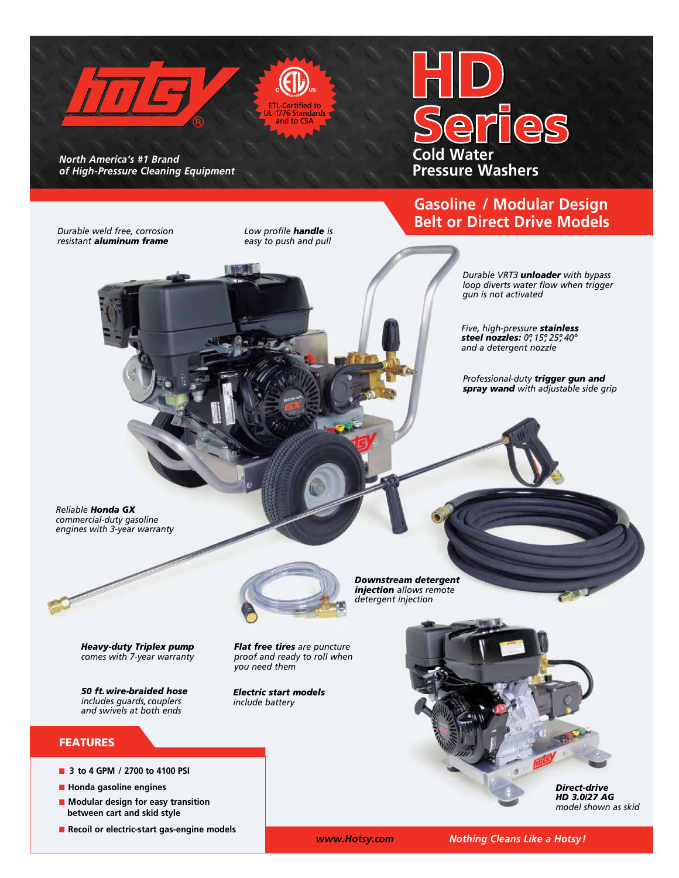

**Gasoline / Modular Design Belt or Direct Drive Models**

> *Durable VRT3 unloader with bypass loop diverts water flow when trigger gun is not activated*

*Five, high-pressure stainless steel nozzles: 0º, 15º, 25º, 40º and a detergent nozzle*

*Professional-duty trigger gun and spray wand with adjustable side grip*

*Durable weld free, corrosion* 

*resistant aluminum frame* 

*Low profile handle is easy to push and pull*

*Reliable Honda GX commercial-duty gasoline engines with 3-year warranty*



*Heavy-duty Triplex pump comes with 7-year warranty*

*50 ft.wire-braided hose includes guards, couplers and swivels at both ends* 

#### **FEATURES**

- 3 **to 4 GPM** / 2700 **to 4100 PSI**
- n **Honda gasoline engines**
- Modular design for easy transition  **between cart and skid style**
- Recoil or electric-start gas-engine models



*you need them*

*Electric start models include battery*

*Downstream detergent injection allows remote detergent injection*

*Flat free tires are puncture proof and ready to roll when* 

> *Direct-drive HD 3.0/27 AG model shown as skid*

 *www.Hotsy.com Nothing Cleans Like a Hotsy!*